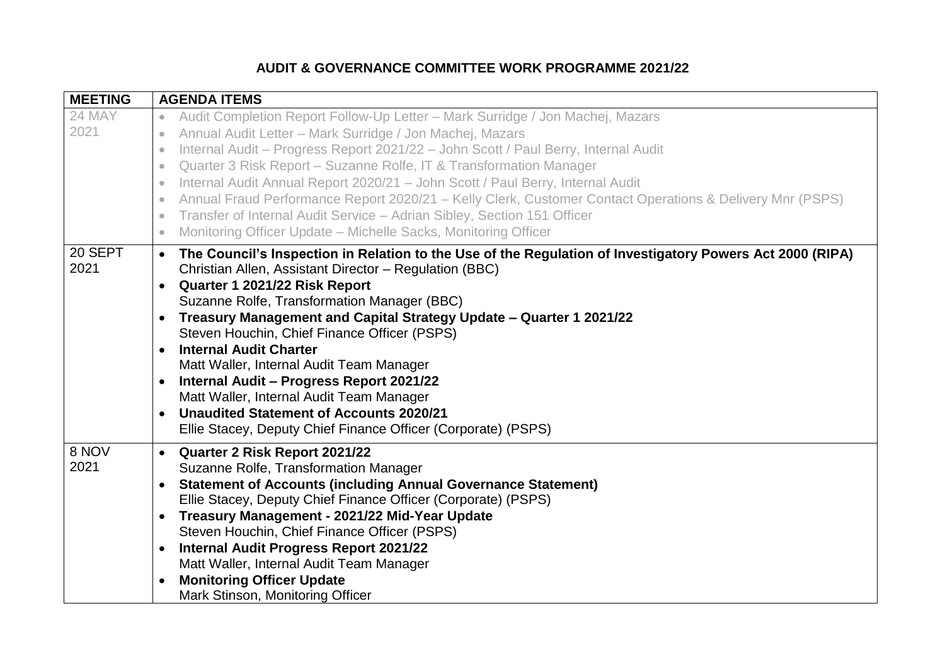## **AUDIT & GOVERNANCE COMMITTEE WORK PROGRAMME 2021/22**

| <b>MEETING</b>  | <b>AGENDA ITEMS</b>                                                                                                                                                                                                                                                                                                                                                                                                                                                                                                                                                                                                                                                                                                                 |
|-----------------|-------------------------------------------------------------------------------------------------------------------------------------------------------------------------------------------------------------------------------------------------------------------------------------------------------------------------------------------------------------------------------------------------------------------------------------------------------------------------------------------------------------------------------------------------------------------------------------------------------------------------------------------------------------------------------------------------------------------------------------|
| 24 MAY          | Audit Completion Report Follow-Up Letter - Mark Surridge / Jon Machej, Mazars<br>$\bullet$                                                                                                                                                                                                                                                                                                                                                                                                                                                                                                                                                                                                                                          |
| 2021            | Annual Audit Letter - Mark Surridge / Jon Machej, Mazars<br>$\bullet$                                                                                                                                                                                                                                                                                                                                                                                                                                                                                                                                                                                                                                                               |
|                 | Internal Audit - Progress Report 2021/22 - John Scott / Paul Berry, Internal Audit<br>$\bullet$                                                                                                                                                                                                                                                                                                                                                                                                                                                                                                                                                                                                                                     |
|                 | Quarter 3 Risk Report - Suzanne Rolfe, IT & Transformation Manager<br>$\bullet$                                                                                                                                                                                                                                                                                                                                                                                                                                                                                                                                                                                                                                                     |
|                 | Internal Audit Annual Report 2020/21 - John Scott / Paul Berry, Internal Audit<br>$\bullet$                                                                                                                                                                                                                                                                                                                                                                                                                                                                                                                                                                                                                                         |
|                 | Annual Fraud Performance Report 2020/21 - Kelly Clerk, Customer Contact Operations & Delivery Mnr (PSPS)<br>$\bullet$                                                                                                                                                                                                                                                                                                                                                                                                                                                                                                                                                                                                               |
|                 | Transfer of Internal Audit Service - Adrian Sibley, Section 151 Officer                                                                                                                                                                                                                                                                                                                                                                                                                                                                                                                                                                                                                                                             |
|                 | Monitoring Officer Update - Michelle Sacks, Monitoring Officer<br>$\bullet$                                                                                                                                                                                                                                                                                                                                                                                                                                                                                                                                                                                                                                                         |
| 20 SEPT<br>2021 | The Council's Inspection in Relation to the Use of the Regulation of Investigatory Powers Act 2000 (RIPA)<br>$\bullet$<br>Christian Allen, Assistant Director - Regulation (BBC)<br>Quarter 1 2021/22 Risk Report<br>$\bullet$<br>Suzanne Rolfe, Transformation Manager (BBC)<br>Treasury Management and Capital Strategy Update - Quarter 1 2021/22<br>$\bullet$<br>Steven Houchin, Chief Finance Officer (PSPS)<br><b>Internal Audit Charter</b><br>Matt Waller, Internal Audit Team Manager<br>Internal Audit - Progress Report 2021/22<br>$\bullet$<br>Matt Waller, Internal Audit Team Manager<br><b>Unaudited Statement of Accounts 2020/21</b><br>$\bullet$<br>Ellie Stacey, Deputy Chief Finance Officer (Corporate) (PSPS) |
| 8 NOV<br>2021   | Quarter 2 Risk Report 2021/22<br>$\bullet$<br>Suzanne Rolfe, Transformation Manager<br><b>Statement of Accounts (including Annual Governance Statement)</b><br>$\bullet$<br>Ellie Stacey, Deputy Chief Finance Officer (Corporate) (PSPS)<br>Treasury Management - 2021/22 Mid-Year Update<br>$\bullet$<br>Steven Houchin, Chief Finance Officer (PSPS)<br><b>Internal Audit Progress Report 2021/22</b><br>$\bullet$<br>Matt Waller, Internal Audit Team Manager<br><b>Monitoring Officer Update</b><br>$\bullet$<br>Mark Stinson, Monitoring Officer                                                                                                                                                                              |